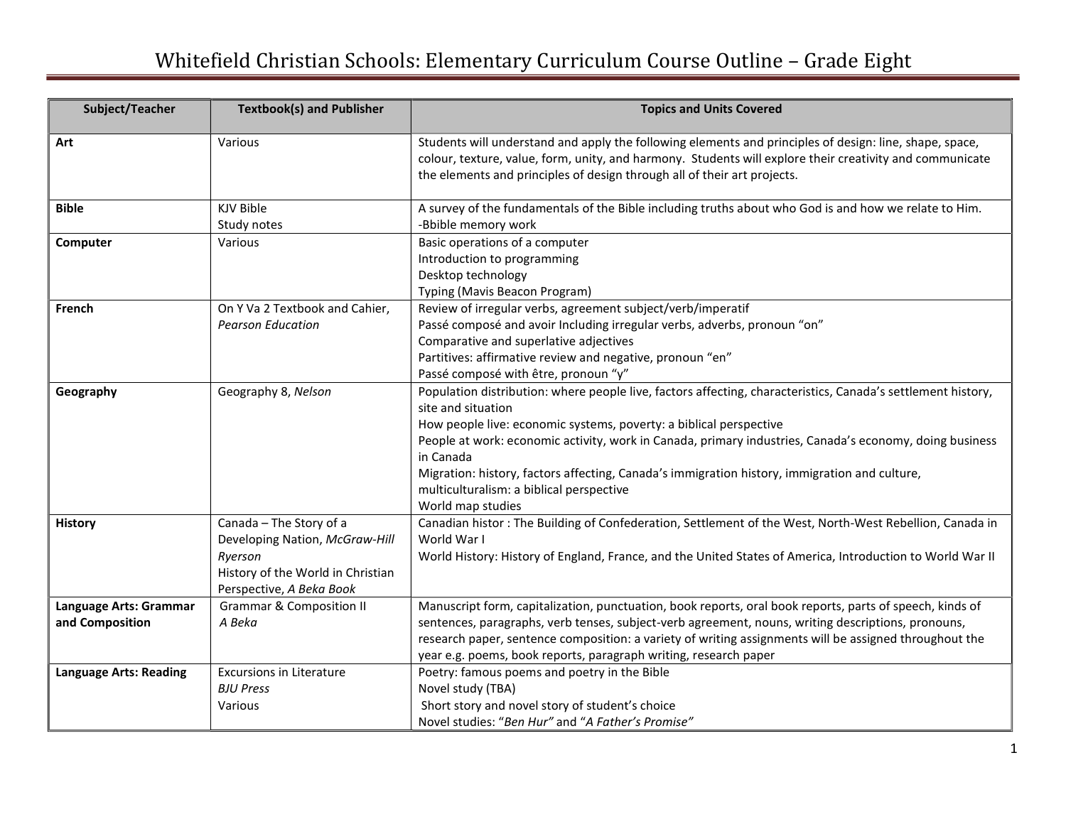## Whitefield Christian Schools: Elementary Curriculum Course Outline – Grade Eight

| Subject/Teacher                           | <b>Textbook(s) and Publisher</b>                                                                                                      | <b>Topics and Units Covered</b>                                                                                                                                                                                                                                                                                                                                                                                                                                                                    |
|-------------------------------------------|---------------------------------------------------------------------------------------------------------------------------------------|----------------------------------------------------------------------------------------------------------------------------------------------------------------------------------------------------------------------------------------------------------------------------------------------------------------------------------------------------------------------------------------------------------------------------------------------------------------------------------------------------|
| Art                                       | Various                                                                                                                               | Students will understand and apply the following elements and principles of design: line, shape, space,<br>colour, texture, value, form, unity, and harmony. Students will explore their creativity and communicate<br>the elements and principles of design through all of their art projects.                                                                                                                                                                                                    |
| <b>Bible</b>                              | KJV Bible<br>Study notes                                                                                                              | A survey of the fundamentals of the Bible including truths about who God is and how we relate to Him.<br>-Bbible memory work                                                                                                                                                                                                                                                                                                                                                                       |
| Computer                                  | Various                                                                                                                               | Basic operations of a computer<br>Introduction to programming<br>Desktop technology<br>Typing (Mavis Beacon Program)                                                                                                                                                                                                                                                                                                                                                                               |
| French                                    | On Y Va 2 Textbook and Cahier,<br><b>Pearson Education</b>                                                                            | Review of irregular verbs, agreement subject/verb/imperatif<br>Passé composé and avoir Including irregular verbs, adverbs, pronoun "on"<br>Comparative and superlative adjectives<br>Partitives: affirmative review and negative, pronoun "en"<br>Passé composé with être, pronoun "y"                                                                                                                                                                                                             |
| Geography                                 | Geography 8, Nelson                                                                                                                   | Population distribution: where people live, factors affecting, characteristics, Canada's settlement history,<br>site and situation<br>How people live: economic systems, poverty: a biblical perspective<br>People at work: economic activity, work in Canada, primary industries, Canada's economy, doing business<br>in Canada<br>Migration: history, factors affecting, Canada's immigration history, immigration and culture,<br>multiculturalism: a biblical perspective<br>World map studies |
| <b>History</b>                            | Canada - The Story of a<br>Developing Nation, McGraw-Hill<br>Ryerson<br>History of the World in Christian<br>Perspective, A Beka Book | Canadian histor: The Building of Confederation, Settlement of the West, North-West Rebellion, Canada in<br>World War I<br>World History: History of England, France, and the United States of America, Introduction to World War II                                                                                                                                                                                                                                                                |
| Language Arts: Grammar<br>and Composition | <b>Grammar &amp; Composition II</b><br>A Beka                                                                                         | Manuscript form, capitalization, punctuation, book reports, oral book reports, parts of speech, kinds of<br>sentences, paragraphs, verb tenses, subject-verb agreement, nouns, writing descriptions, pronouns,<br>research paper, sentence composition: a variety of writing assignments will be assigned throughout the<br>year e.g. poems, book reports, paragraph writing, research paper                                                                                                       |
| <b>Language Arts: Reading</b>             | <b>Excursions in Literature</b><br><b>BJU Press</b><br>Various                                                                        | Poetry: famous poems and poetry in the Bible<br>Novel study (TBA)<br>Short story and novel story of student's choice<br>Novel studies: "Ben Hur" and "A Father's Promise"                                                                                                                                                                                                                                                                                                                          |